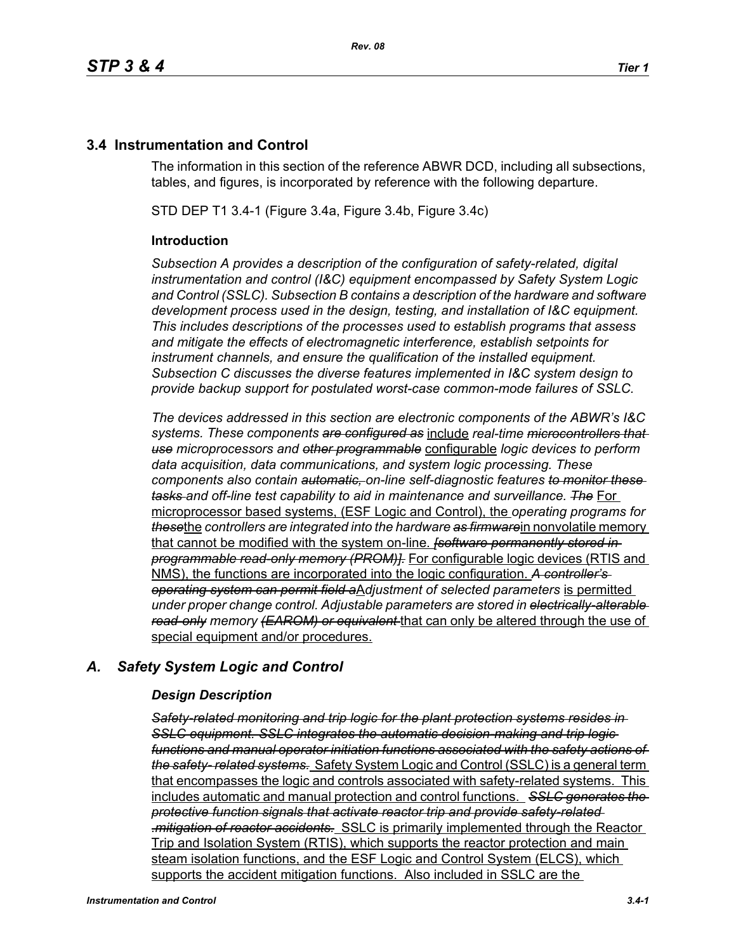## **3.4 Instrumentation and Control**

The information in this section of the reference ABWR DCD, including all subsections, tables, and figures, is incorporated by reference with the following departure.

STD DEP T1 3.4-1 (Figure 3.4a, Figure 3.4b, Figure 3.4c)

#### **Introduction**

*Subsection A provides a description of the configuration of safety-related, digital instrumentation and control (I&C) equipment encompassed by Safety System Logic and Control (SSLC). Subsection B contains a description of the hardware and software development process used in the design, testing, and installation of I&C equipment. This includes descriptions of the processes used to establish programs that assess and mitigate the effects of electromagnetic interference, establish setpoints for instrument channels, and ensure the qualification of the installed equipment. Subsection C discusses the diverse features implemented in I&C system design to provide backup support for postulated worst-case common-mode failures of SSLC.*

*The devices addressed in this section are electronic components of the ABWR's I&C systems. These components are configured as* include *real-time microcontrollers that use microprocessors and other programmable* configurable *logic devices to perform data acquisition, data communications, and system logic processing. These components also contain automatic, on-line self-diagnostic features to monitor these tasks and off-line test capability to aid in maintenance and surveillance. The* For microprocessor based systems, (ESF Logic and Control), the *operating programs for these*the *controllers are integrated into the hardware as firmware*in nonvolatile memory that cannot be modified with the system on-line. *[software permanently stored in programmable read-only memory (PROM)].* For configurable logic devices (RTIS and NMS), the functions are incorporated into the logic configuration. *A controller's operating system can permit field a*A*djustment of selected parameters* is permitted *under proper change control. Adjustable parameters are stored in electrically-alterable read-only memory (EAROM) or equivalent* that can only be altered through the use of special equipment and/or procedures.

## *A. Safety System Logic and Control*

#### *Design Description*

*Safety-related monitoring and trip logic for the plant protection systems resides in SSLC equipment. SSLC integrates the automatic decision-making and trip logic functions and manual operator initiation functions associated with the safety actions of the safety- related systems.* Safety System Logic and Control (SSLC) is a general term that encompasses the logic and controls associated with safety-related systems. This includes automatic and manual protection and control functions. *SSLC generates the protective function signals that activate reactor trip and provide safety-related .mitigation of reactor accidents.* SSLC is primarily implemented through the Reactor Trip and Isolation System (RTIS), which supports the reactor protection and main steam isolation functions, and the ESF Logic and Control System (ELCS), which supports the accident mitigation functions. Also included in SSLC are the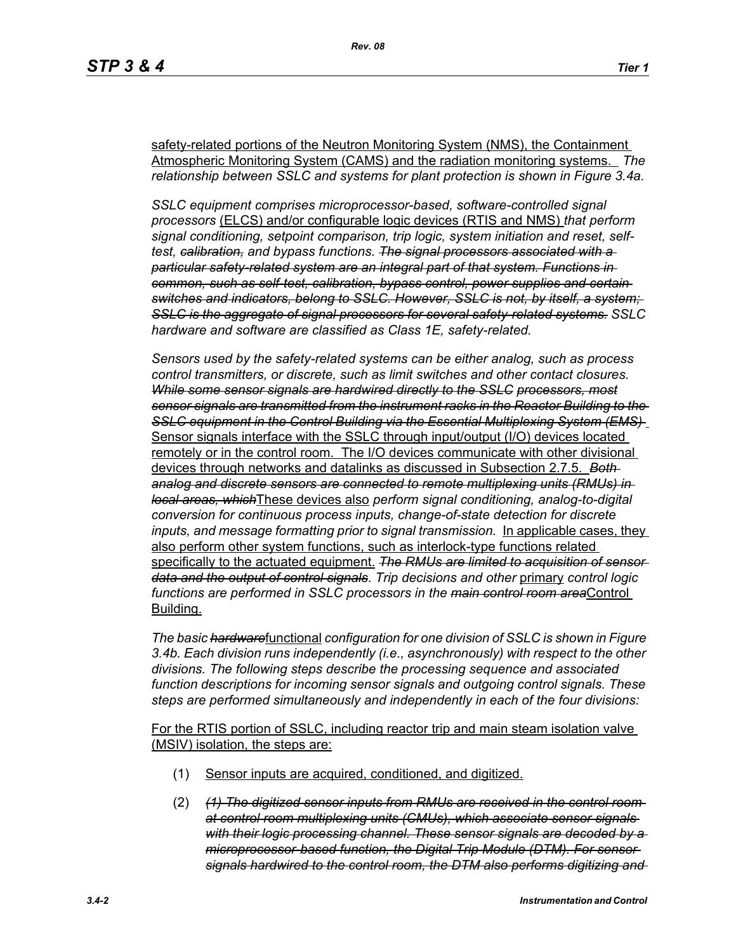safety-related portions of the Neutron Monitoring System (NMS), the Containment Atmospheric Monitoring System (CAMS) and the radiation monitoring systems. *The relationship between SSLC and systems for plant protection is shown in Figure 3.4a.*

*SSLC equipment comprises microprocessor-based, software-controlled signal processors* (ELCS) and/or configurable logic devices (RTIS and NMS) *that perform signal conditioning, setpoint comparison, trip logic, system initiation and reset, selftest, calibration, and bypass functions. The signal processors associated with a particular safety-related system are an integral part of that system. Functions in common, such as self-test, calibration, bypass control, power supplies and certain switches and indicators, belong to SSLC. However, SSLC is not, by itself, a system; SSLC is the aggregate of signal processors for several safety-related systems. SSLC hardware and software are classified as Class 1E, safety-related.*

*Sensors used by the safety-related systems can be either analog, such as process control transmitters, or discrete, such as limit switches and other contact closures. While some sensor signals are hardwired directly to the SSLC processors, most sensor signals are transmitted from the instrument racks in the Reactor Building to the SSLC equipment in the Control Building via the Essential Multiplexing System (EMS)*  Sensor signals interface with the SSLC through input/output (I/O) devices located remotely or in the control room. The I/O devices communicate with other divisional devices through networks and datalinks as discussed in Subsection 2.7.5. *Both analog and discrete sensors are connected to remote multiplexing units (RMUs) in local areas, which*These devices also *perform signal conditioning, analog-to-digital conversion for continuous process inputs, change-of-state detection for discrete inputs, and message formatting prior to signal transmission.* In applicable cases, they also perform other system functions, such as interlock-type functions related specifically to the actuated equipment. *The RMUs are limited to acquisition of sensor data and the output of control signals*. *Trip decisions and other* primary *control logic functions are performed in SSLC processors in the main control room area*Control Building.

*The basic hardware*functional *configuration for one division of SSLC is shown in Figure 3.4b. Each division runs independently (i.e., asynchronously) with respect to the other divisions. The following steps describe the processing sequence and associated function descriptions for incoming sensor signals and outgoing control signals. These steps are performed simultaneously and independently in each of the four divisions:*

For the RTIS portion of SSLC, including reactor trip and main steam isolation valve (MSIV) isolation, the steps are:

- (1) Sensor inputs are acquired, conditioned, and digitized.
- (2) *(1) The digitized sensor inputs from RMUs are received in the control room at control room multiplexing units (CMUs), which associate sensor signals with their logic processing channel. These sensor signals are decoded by a microprocessor-based function, the Digital Trip Module (DTM). For sensor signals hardwired to the control room, the DTM also performs digitizing and*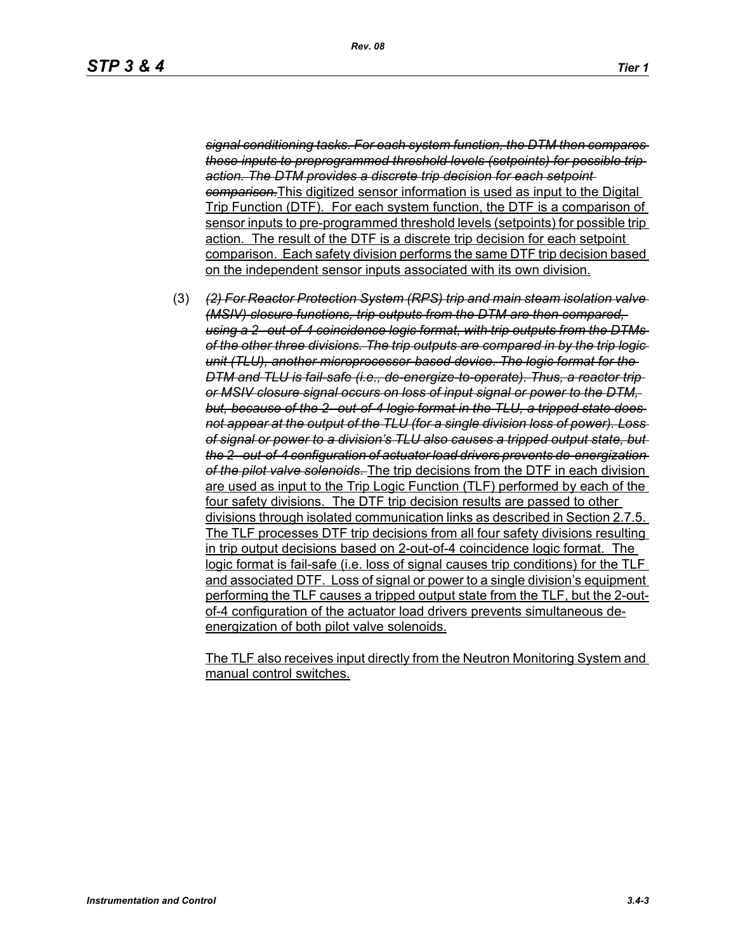*signal conditioning tasks. For each system function, the DTM then compares these inputs to preprogrammed threshold levels (setpoints) for possible trip action. The DTM provides a discrete trip decision for each setpoint comparison.*This digitized sensor information is used as input to the Digital Trip Function (DTF). For each system function, the DTF is a comparison of sensor inputs to pre-programmed threshold levels (setpoints) for possible trip action. The result of the DTF is a discrete trip decision for each setpoint comparison. Each safety division performs the same DTF trip decision based on the independent sensor inputs associated with its own division.

(3) *(2) For Reactor Protection System (RPS) trip and main steam isolation valve (MSIV) closure functions, trip outputs from the DTM are then compared, using a 2--out-of-4 coincidence logic format, with trip outputs from the DTMs of the other three divisions. The trip outputs are compared in by the trip logic unit (TLU), another microprocessor-based device. The logic format for the DTM and TLU is fail-safe (i.e., de-energize-to-operate). Thus, a reactor trip or MSIV closure signal occurs on loss of input signal or power to the DTM,*  but, because of the 2-out-of-4 logic format in the TLU, a tripped state does*not appear at the output of the TLU (for a single division loss of power). Loss of signal or power to a division's TLU also causes a tripped output state, but the 2--out-of-4 configuration of actuator load drivers prevents de-energization of the pilot valve solenoids.* The trip decisions from the DTF in each division are used as input to the Trip Logic Function (TLF) performed by each of the four safety divisions. The DTF trip decision results are passed to other divisions through isolated communication links as described in Section 2.7.5. The TLF processes DTF trip decisions from all four safety divisions resulting in trip output decisions based on 2-out-of-4 coincidence logic format. The logic format is fail-safe (i.e. loss of signal causes trip conditions) for the TLF and associated DTF. Loss of signal or power to a single division's equipment performing the TLF causes a tripped output state from the TLF, but the 2-outof-4 configuration of the actuator load drivers prevents simultaneous deenergization of both pilot valve solenoids.

The TLF also receives input directly from the Neutron Monitoring System and manual control switches.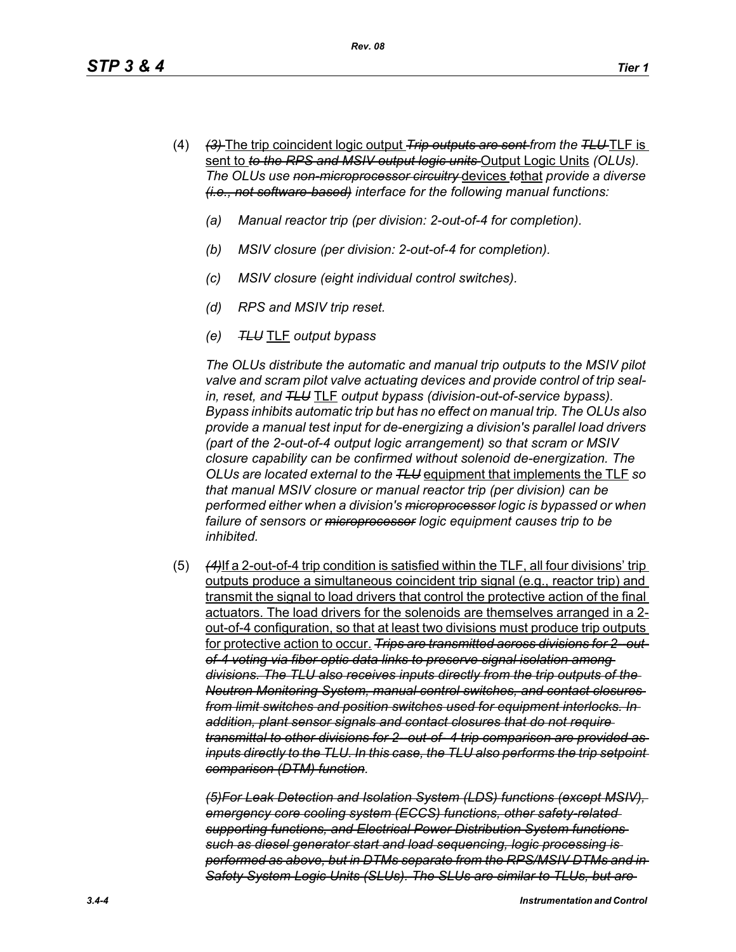- (4) *(3)* The trip coincident logic output *Trip outputs are sent from the TLU* TLF is sent to *to the RPS and MSIV output logic units* Output Logic Units *(OLUs). The OLUs use non-microprocessor circuitry* devices *to*that *provide a diverse (i.e., not software-based) interface for the following manual functions:*
	- *(a) Manual reactor trip (per division: 2-out-of-4 for completion).*
	- *(b) MSIV closure (per division: 2-out-of-4 for completion).*
	- *(c) MSIV closure (eight individual control switches).*
	- *(d) RPS and MSIV trip reset.*
	- *(e) TLU* TLF *output bypass*

*The OLUs distribute the automatic and manual trip outputs to the MSIV pilot valve and scram pilot valve actuating devices and provide control of trip sealin, reset, and TLU* TLF *output bypass (division-out-of-service bypass). Bypass inhibits automatic trip but has no effect on manual trip. The OLUs also provide a manual test input for de-energizing a division's parallel load drivers (part of the 2-out-of-4 output logic arrangement) so that scram or MSIV closure capability can be confirmed without solenoid de-energization. The OLUs are located external to the TLU* equipment that implements the TLF *so that manual MSIV closure or manual reactor trip (per division) can be performed either when a division's microprocessor logic is bypassed or when*  failure of sensors or *microprocessor* logic equipment causes trip to be *inhibited.*

(5) *(4)*If a 2-out-of-4 trip condition is satisfied within the TLF, all four divisions' trip outputs produce a simultaneous coincident trip signal (e.g., reactor trip) and transmit the signal to load drivers that control the protective action of the final actuators. The load drivers for the solenoids are themselves arranged in a 2 out-of-4 configuration, so that at least two divisions must produce trip outputs for protective action to occur. *Trips are transmitted across divisions for 2--outof-4 voting via fiber optic data links to preserve signal isolation among divisions. The TLU also receives inputs directly from the trip outputs of the Neutron Monitoring System, manual control switches, and contact closures from limit switches and position switches used for equipment interlocks. In addition, plant sensor signals and contact closures that do not require transmittal to other divisions for 2--out-of- 4 trip comparison are provided as inputs directly to the TLU. In this case, the TLU also performs the trip setpoint comparison (DTM) function.*

*(5)For Leak Detection and Isolation System (LDS) functions (except MSIV), emergency core cooling system (ECCS) functions, other safety-related supporting functions, and Electrical Power Distribution System functions such as diesel generator start and load sequencing, logic processing is performed as above, but in DTMs separate from the RPS/MSIV DTMs and in Safety System Logic Units (SLUs). The SLUs are similar to TLUs, but are*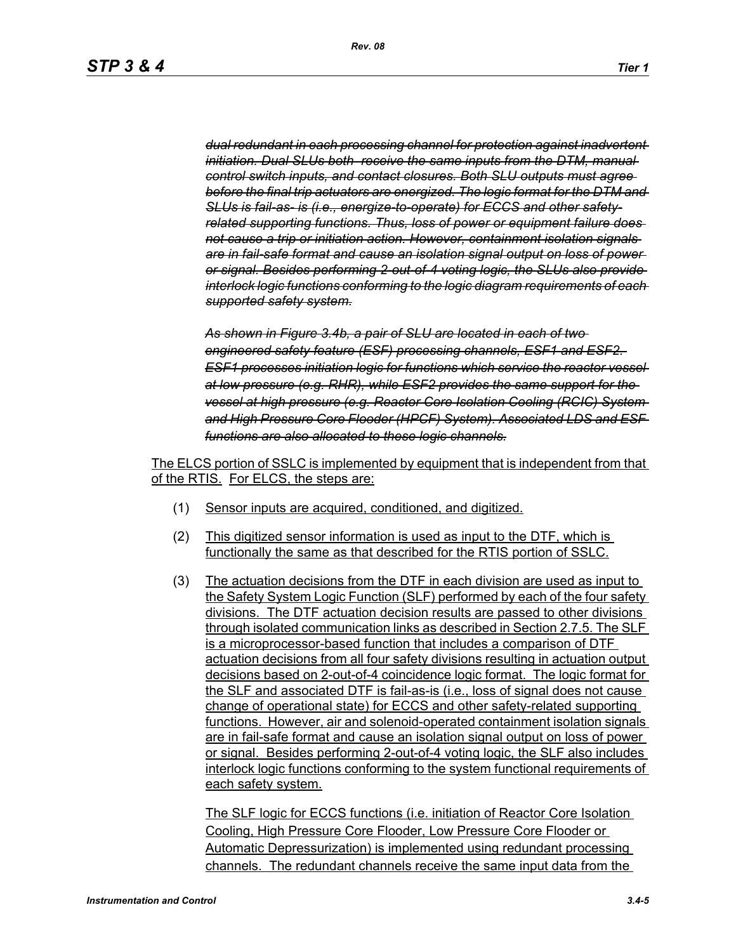*dual redundant in each processing channel for protection against inadvertent initiation. Dual SLUs both receive the same inputs from the DTM, manual control switch inputs, and contact closures. Both SLU outputs must agree before the final trip actuators are energized. The logic format for the DTM and SLUs is fail-as- is (i.e., energize-to-operate) for ECCS and other safetyrelated supporting functions. Thus, loss of power or equipment failure does not cause a trip or initiation action. However, containment isolation signals are in fail-safe format and cause an isolation signal output on loss of power or signal. Besides performing 2-out-of-4 voting logic, the SLUs also provide interlock logic functions conforming to the logic diagram requirements of each supported safety system.*

*As shown in Figure 3.4b, a pair of SLU are located in each of two engineered safety feature (ESF) processing channels, ESF1 and ESF2. ESF1 processes initiation logic for functions which service the reactor vessel at low pressure (e.g. RHR), while ESF2 provides the same support for the vessel at high pressure (e.g. Reactor Core Isolation Cooling (RCIC) System and High Pressure Core Flooder (HPCF) System). Associated LDS and ESF functions are also allocated to these logic channels.*

The ELCS portion of SSLC is implemented by equipment that is independent from that of the RTIS. For ELCS, the steps are:

- (1) Sensor inputs are acquired, conditioned, and digitized.
- (2) This digitized sensor information is used as input to the DTF, which is functionally the same as that described for the RTIS portion of SSLC.
- (3) The actuation decisions from the DTF in each division are used as input to the Safety System Logic Function (SLF) performed by each of the four safety divisions. The DTF actuation decision results are passed to other divisions through isolated communication links as described in Section 2.7.5. The SLF is a microprocessor-based function that includes a comparison of DTF actuation decisions from all four safety divisions resulting in actuation output decisions based on 2-out-of-4 coincidence logic format. The logic format for the SLF and associated DTF is fail-as-is (i.e., loss of signal does not cause change of operational state) for ECCS and other safety-related supporting functions. However, air and solenoid-operated containment isolation signals are in fail-safe format and cause an isolation signal output on loss of power or signal. Besides performing 2-out-of-4 voting logic, the SLF also includes interlock logic functions conforming to the system functional requirements of each safety system.

The SLF logic for ECCS functions (i.e. initiation of Reactor Core Isolation Cooling, High Pressure Core Flooder, Low Pressure Core Flooder or Automatic Depressurization) is implemented using redundant processing channels. The redundant channels receive the same input data from the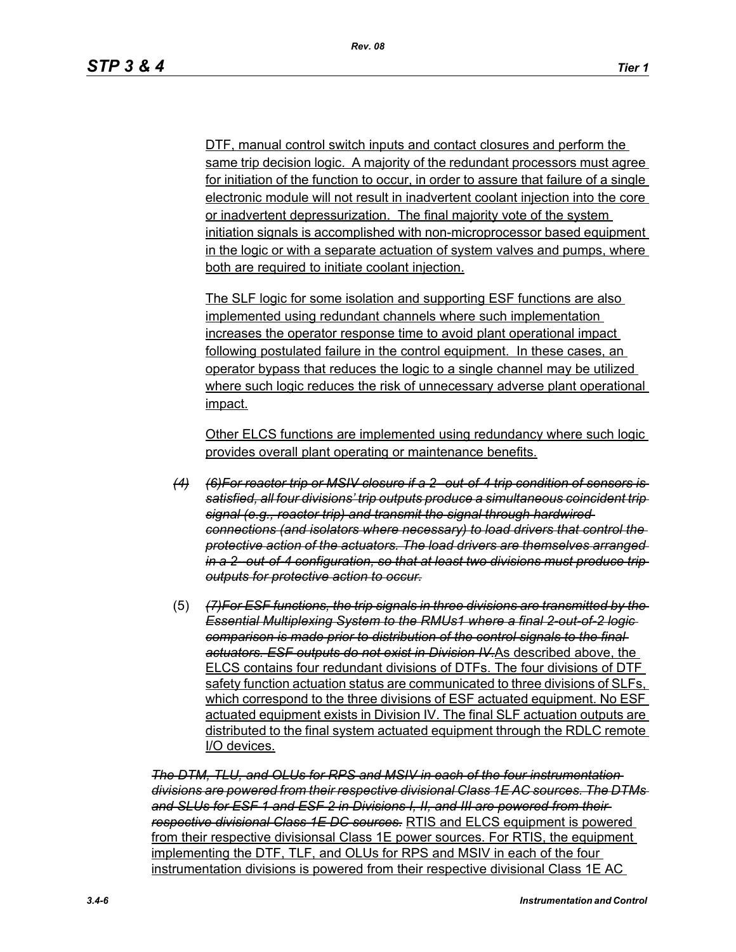DTF, manual control switch inputs and contact closures and perform the same trip decision logic. A majority of the redundant processors must agree for initiation of the function to occur, in order to assure that failure of a single electronic module will not result in inadvertent coolant injection into the core or inadvertent depressurization. The final majority vote of the system initiation signals is accomplished with non-microprocessor based equipment in the logic or with a separate actuation of system valves and pumps, where both are required to initiate coolant injection.

The SLF logic for some isolation and supporting ESF functions are also implemented using redundant channels where such implementation increases the operator response time to avoid plant operational impact following postulated failure in the control equipment. In these cases, an operator bypass that reduces the logic to a single channel may be utilized where such logic reduces the risk of unnecessary adverse plant operational impact.

Other ELCS functions are implemented using redundancy where such logic provides overall plant operating or maintenance benefits.

- *(4) (6)For reactor trip or MSIV closure if a 2--out-of-4 trip condition of sensors is satisfied, all four divisions' trip outputs produce a simultaneous coincident trip signal (e.g., reactor trip) and transmit the signal through hardwired connections (and isolators where necessary) to load drivers that control the protective action of the actuators. The load drivers are themselves arranged in a 2--out-of-4 configuration, so that at least two divisions must produce trip outputs for protective action to occur.*
- (5) *(7)For ESF functions, the trip signals in three divisions are transmitted by the Essential Multiplexing System to the RMUs1 where a final 2-out-of-2 logic comparison is made prior to distribution of the control signals to the final actuators. ESF outputs do not exist in Division IV.*As described above, the ELCS contains four redundant divisions of DTFs. The four divisions of DTF safety function actuation status are communicated to three divisions of SLFs, which correspond to the three divisions of ESF actuated equipment. No ESF actuated equipment exists in Division IV. The final SLF actuation outputs are distributed to the final system actuated equipment through the RDLC remote I/O devices.

*The DTM, TLU, and OLUs for RPS and MSIV in each of the four instrumentation divisions are powered from their respective divisional Class 1E AC sources. The DTMs and SLUs for ESF 1 and ESF 2 in Divisions I, II, and III are powered from their respective divisional Class 1E DC sources.* RTIS and ELCS equipment is powered from their respective divisionsal Class 1E power sources. For RTIS, the equipment implementing the DTF, TLF, and OLUs for RPS and MSIV in each of the four instrumentation divisions is powered from their respective divisional Class 1E AC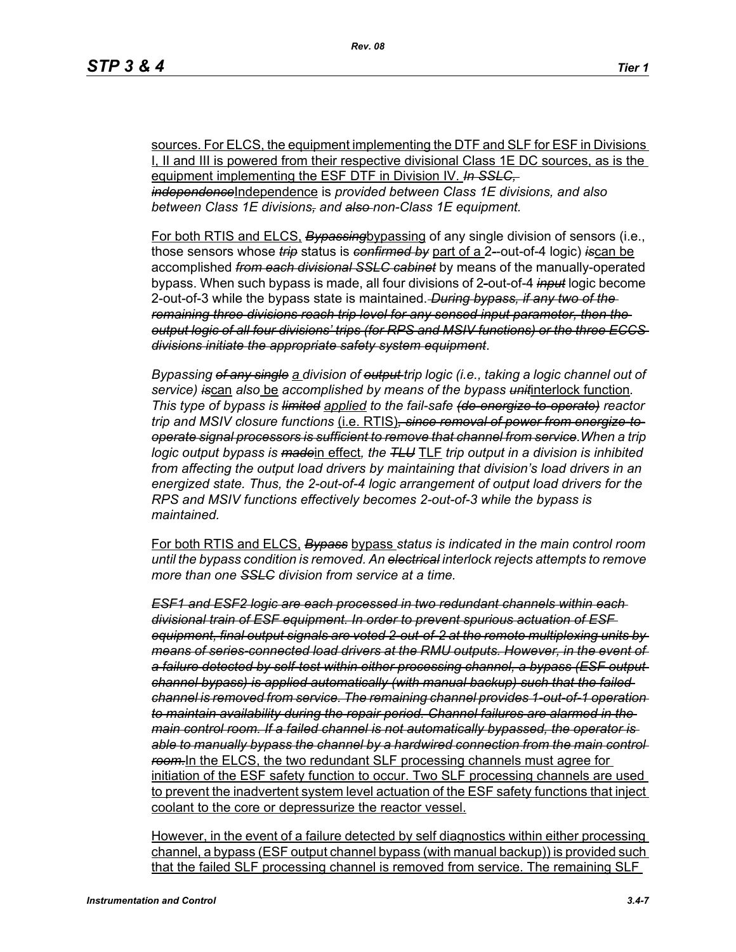sources. For ELCS, the equipment implementing the DTF and SLF for ESF in Divisions I, II and III is powered from their respective divisional Class 1E DC sources, as is the equipment implementing the ESF DTF in Division IV. *In SSLC, independence*Independence is *provided between Class 1E divisions, and also between Class 1E divisions, and also non-Class 1E equipment.*

For both RTIS and ELCS, *Bypassing*bypassing of any single division of sensors (i.e., those sensors whose *trip* status is *confirmed by* part of a 2*-*-out-of-4 logic) *is*can be accomplished *from each divisional SSLC cabinet* by means of the manually-operated bypass. When such bypass is made, all four divisions of 2*-*out-of-4 *input* logic become 2-out-of-3 while the bypass state is maintained. *During bypass, if any two of the remaining three divisions reach trip level for any sensed input parameter, then the output logic of all four divisions' trips (for RPS and MSIV functions) or the three ECCS divisions initiate the appropriate safety system equipment*.

*Bypassing of any single a division of output trip logic (i.e., taking a logic channel out of service) is*can *also* be *accomplished by means of the bypass unit*interlock function*. This type of bypass is limited applied to the fail-safe (de-energize-to-operate) reactor trip and MSIV closure functions* (i.e. RTIS)*, since removal of power from energize-tooperate signal processors is sufficient to remove that channel from service.When a trip logic output bypass is made*in effect*, the TLU* TLF *trip output in a division is inhibited from affecting the output load drivers by maintaining that division's load drivers in an energized state. Thus, the 2-out-of-4 logic arrangement of output load drivers for the RPS and MSIV functions effectively becomes 2-out-of-3 while the bypass is maintained.*

For both RTIS and ELCS, *Bypass* bypass *status is indicated in the main control room until the bypass condition is removed. An electrical interlock rejects attempts to remove more than one SSLC division from service at a time.*

*ESF1 and ESF2 logic are each processed in two redundant channels within each divisional train of ESF equipment. In order to prevent spurious actuation of ESF equipment, final output signals are voted 2-out-of-2 at the remote multiplexing units by means of series-connected load drivers at the RMU outputs. However, in the event of a failure detected by self-test within either processing channel, a bypass (ESF output channel bypass) is applied automatically (with manual backup) such that the failed channel is removed from service. The remaining channel provides 1-out-of-1 operation to maintain availability during the repair period. Channel failures are alarmed in the main control room. If a failed channel is not automatically bypassed, the operator is*  able to manually bypass the channel by a hardwired connection from the main control *room.*In the ELCS, the two redundant SLF processing channels must agree for initiation of the ESF safety function to occur. Two SLF processing channels are used to prevent the inadvertent system level actuation of the ESF safety functions that inject coolant to the core or depressurize the reactor vessel.

However, in the event of a failure detected by self diagnostics within either processing channel, a bypass (ESF output channel bypass (with manual backup)) is provided such that the failed SLF processing channel is removed from service. The remaining SLF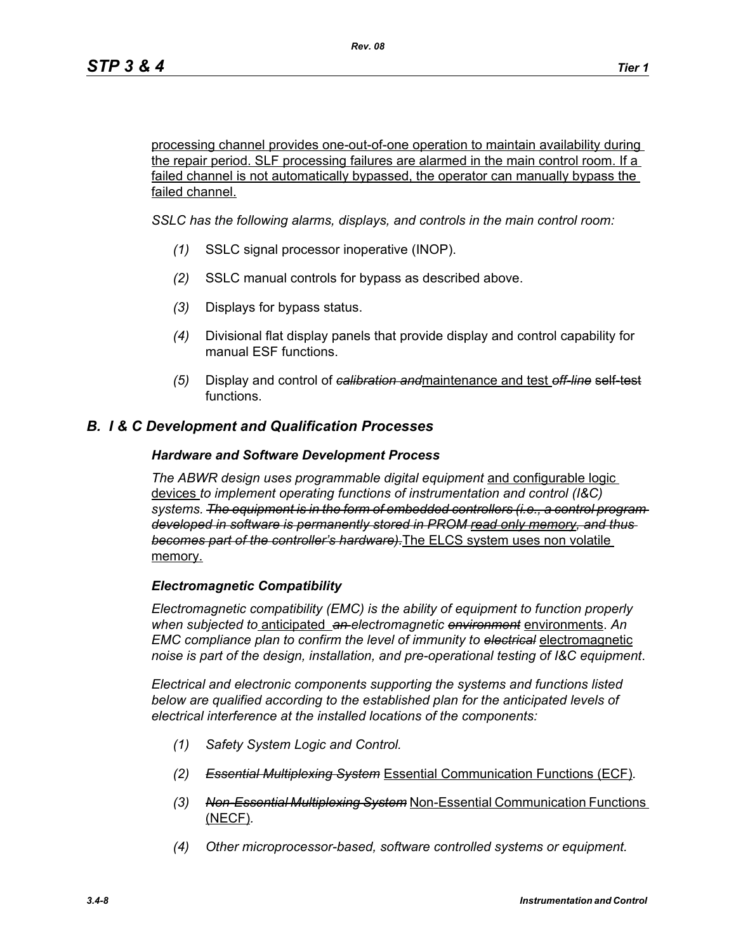processing channel provides one-out-of-one operation to maintain availability during the repair period. SLF processing failures are alarmed in the main control room. If a failed channel is not automatically bypassed, the operator can manually bypass the failed channel.

*SSLC has the following alarms, displays, and controls in the main control room:*

- *(1)* SSLC signal processor inoperative (INOP).
- *(2)* SSLC manual controls for bypass as described above.
- *(3)* Displays for bypass status.
- *(4)* Divisional flat display panels that provide display and control capability for manual ESF functions.
- *(5)* Display and control of *calibration and*maintenance and test *off-line* self-test functions.

## *B. I & C Development and Qualification Processes*

#### *Hardware and Software Development Process*

*The ABWR design uses programmable digital equipment* and configurable logic devices *to implement operating functions of instrumentation and control (I&C) systems. The equipment is in the form of embedded controllers (i.e., a control program developed in software is permanently stored in PROM read only memory, and thus becomes part of the controller's hardware).*The ELCS system uses non volatile memory.

#### *Electromagnetic Compatibility*

*Electromagnetic compatibility (EMC) is the ability of equipment to function properly when subjected to* anticipated *an electromagnetic environment* environments. *An EMC compliance plan to confirm the level of immunity to electrical* electromagnetic *noise is part of the design, installation, and pre-operational testing of I&C equipment*.

*Electrical and electronic components supporting the systems and functions listed below are qualified according to the established plan for the anticipated levels of electrical interference at the installed locations of the components:*

- *(1) Safety System Logic and Control.*
- *(2) Essential Multiplexing System* Essential Communication Functions (ECF)*.*
- *(3) Non-Essential Multiplexing System* Non-Essential Communication Functions (NECF)*.*
- *(4) Other microprocessor-based, software controlled systems or equipment.*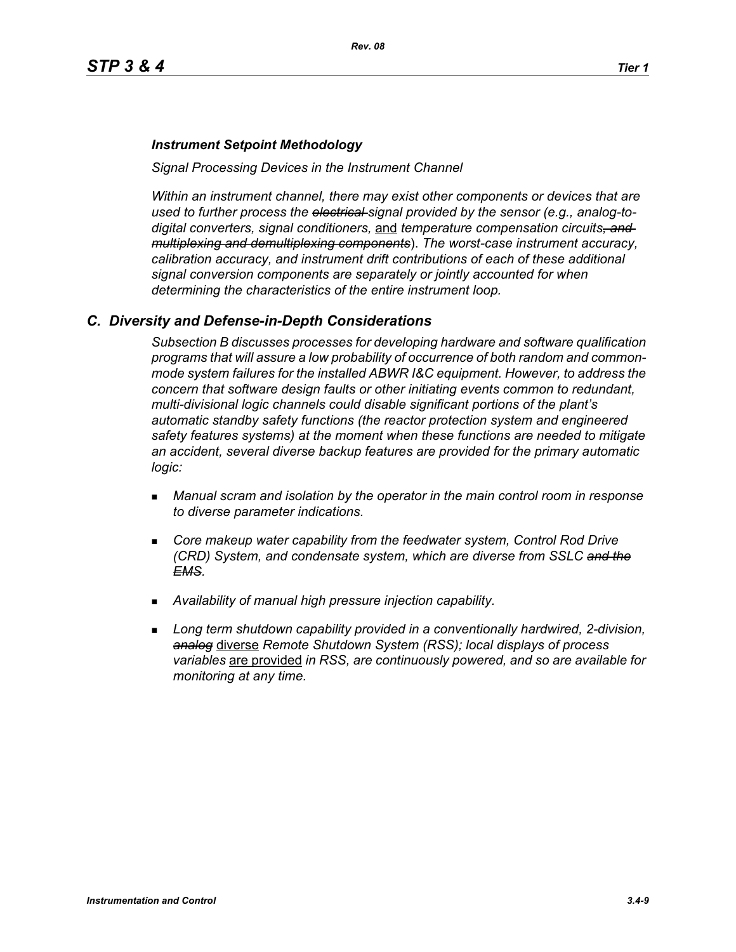#### *Instrument Setpoint Methodology*

*Signal Processing Devices in the Instrument Channel*

*Within an instrument channel, there may exist other components or devices that are used to further process the electrical signal provided by the sensor (e.g., analog-todigital converters, signal conditioners,* and *temperature compensation circuits, and multiplexing and demultiplexing components*). *The worst-case instrument accuracy, calibration accuracy, and instrument drift contributions of each of these additional signal conversion components are separately or jointly accounted for when determining the characteristics of the entire instrument loop.*

#### *C. Diversity and Defense-in-Depth Considerations*

*Subsection B discusses processes for developing hardware and software qualification programs that will assure a low probability of occurrence of both random and commonmode system failures for the installed ABWR I&C equipment. However, to address the concern that software design faults or other initiating events common to redundant, multi-divisional logic channels could disable significant portions of the plant's automatic standby safety functions (the reactor protection system and engineered safety features systems) at the moment when these functions are needed to mitigate an accident, several diverse backup features are provided for the primary automatic logic:*

- *Manual scram and isolation by the operator in the main control room in response to diverse parameter indications.*
- **Core makeup water capability from the feedwater system, Control Rod Drive** *(CRD) System, and condensate system, which are diverse from SSLC and the EMS.*
- *Availability of manual high pressure injection capability.*
- *Long term shutdown capability provided in a conventionally hardwired, 2-division, analog* diverse *Remote Shutdown System (RSS); local displays of process variables* are provided *in RSS, are continuously powered, and so are available for monitoring at any time.*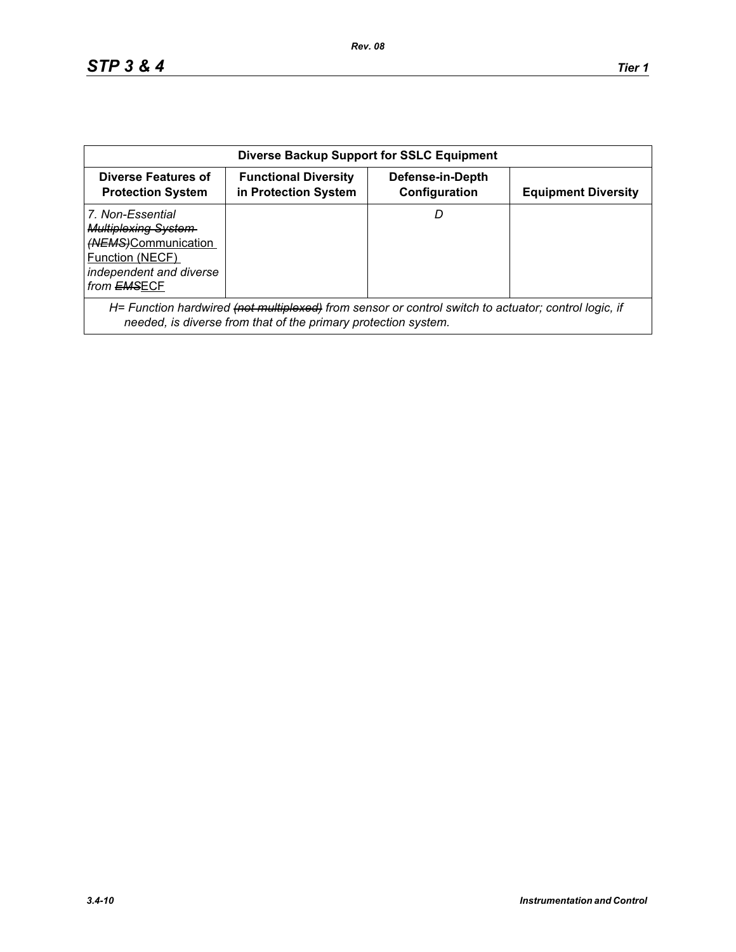| <b>Diverse Backup Support for SSLC Equipment</b>                                                                                                |                                                                                                                                                                        |                                   |                            |  |
|-------------------------------------------------------------------------------------------------------------------------------------------------|------------------------------------------------------------------------------------------------------------------------------------------------------------------------|-----------------------------------|----------------------------|--|
| Diverse Features of<br><b>Protection System</b>                                                                                                 | <b>Functional Diversity</b><br>in Protection System                                                                                                                    | Defense-in-Depth<br>Configuration | <b>Equipment Diversity</b> |  |
| 7. Non-Essential<br><b>Multiplexing System-</b><br>(NEMS)Communication<br>Function (NECF)<br>independent and diverse<br>from <del>EMS</del> ECF |                                                                                                                                                                        | D                                 |                            |  |
|                                                                                                                                                 | H= Function hardwired (not multiplexed) from sensor or control switch to actuator; control logic, if<br>needed, is diverse from that of the primary protection system. |                                   |                            |  |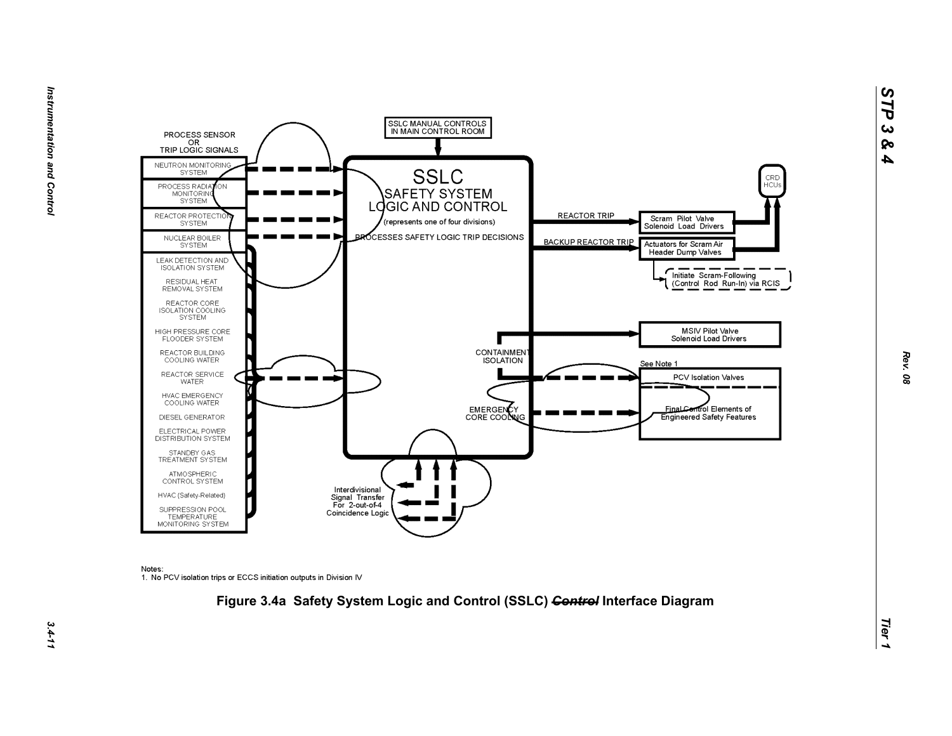

Notes:

1. No PCV isolation trips or ECCS initiation outputs in Division IV



*STP 3 & 4*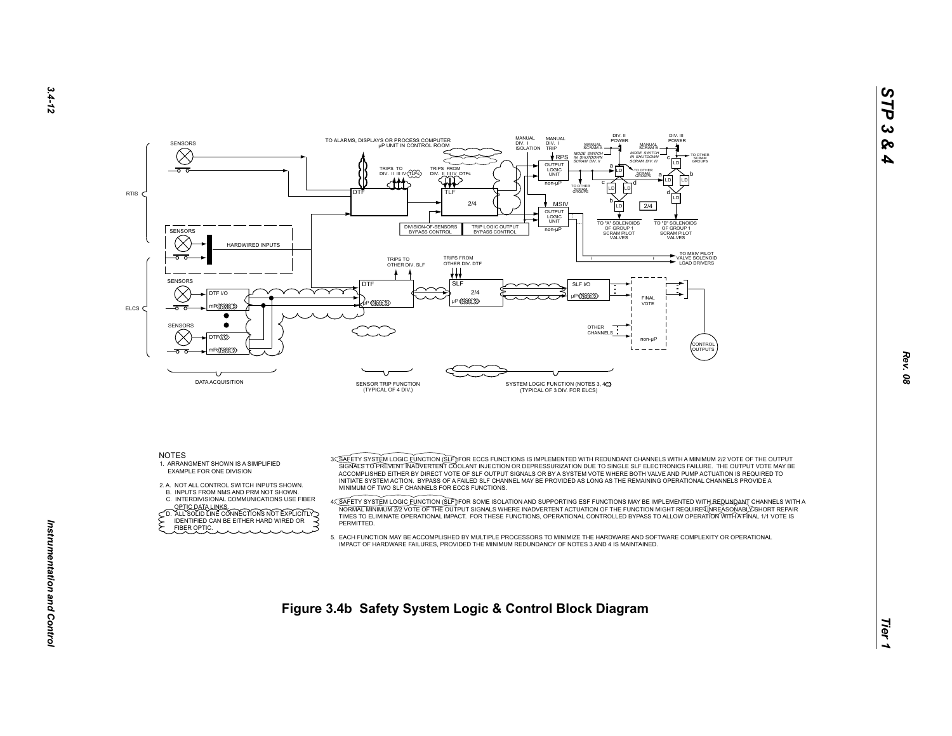



- EXAMPLE FOR ONE DIVISION
- 2. A. NOT ALL CONTROL SWITCH INPUTS SHOWN.
- B. INPUTS FROM NMS AND PRM NOT SHOWN.
- C. INTERDIVISIONAL COMMUNICATIONS USE FIBER
- OPTIC DATA LINKS.<br>
CD. ALL SOLID LINE CONNECTIONS NOT EXPLICITLY<br>
FIDENTIFIED CAN BE EITHER HARD WIRED OR FIBER OPTIC.

 ACCOMPLISHED EITHER BY DIRECT VOTE OF SLF OUTPUT SIGNALS OR BY A SYSTEM VOTE WHERE BOTH VALVE AND PUMP ACTUATION IS REQUIRED TO INITIATE SYSTEM ACTION. BYPASS OF A FAILED SLF CHANNEL MAY BE PROVIDED AS LONG AS THE REMAINING OPERATIONAL CHANNELS PROVIDE A MINIMUM OF TWO SLF CHANNELS FOR ECCS FUNCTIONS.

A<u>C SAFETY SYSTEM LOGIC FUNCTION (SLF</u>)IFOR SOME ISOLATION AND SUPPORTING ESF FUNCTIONS MAY BE IMPLEMENTED WITH A<br>NORMALT MINIMUM 272 VOTE OF THE OUTPUT SIGNALE WHERE INADVERTENT ACTUATION OF THE FUNCTION MIGHT REQUIREASON **PERMITTED.** 

 5. EACH FUNCTION MAY BE ACCOMPLISHED BY MULTIPLE PROCESSORS TO MINIMIZE THE HARDWARE AND SOFTWARE COMPLEXITY OR OPERATIONALIMPACT OF HARDWARE FAILURES, PROVIDED THE MINIMUM REDUNDANCY OF NOTES 3 AND 4 IS MAINTAINED.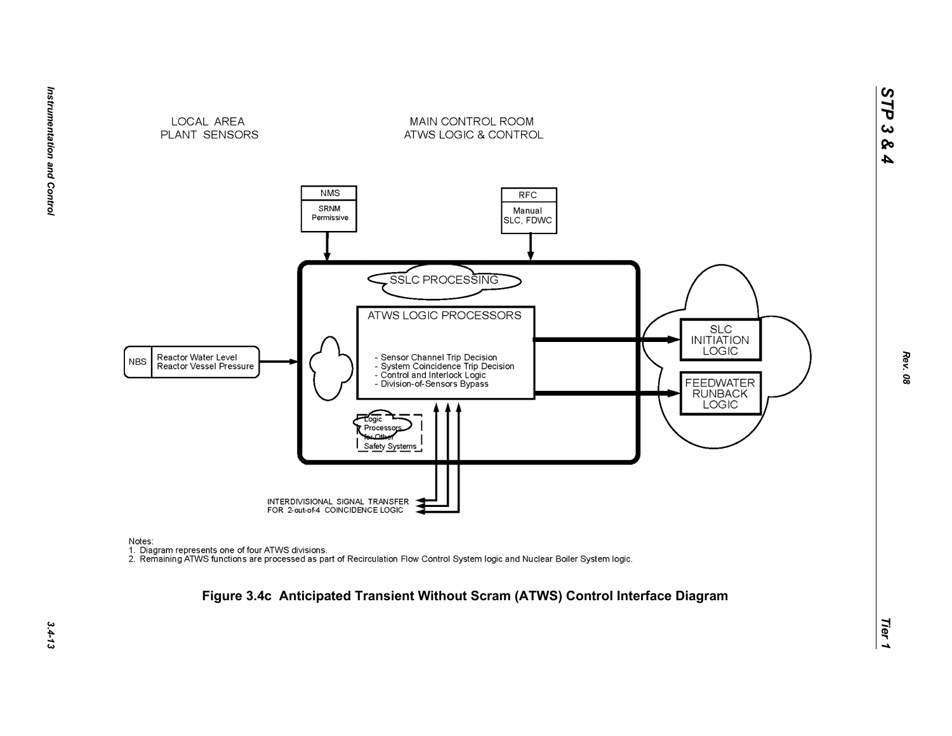



Notes:

nction<br>1. Diagram represents one of four ATWS divisions.<br>2. Remaining ATWS functions are processed as part of Recirculation Flow Control System logic and Nuclear Boiler System logic.

# *Tier 1* **Figure 3.4c Anticipated Transient Without Scram (ATWS) Control Interface Diagram**

*STP 3 & 4*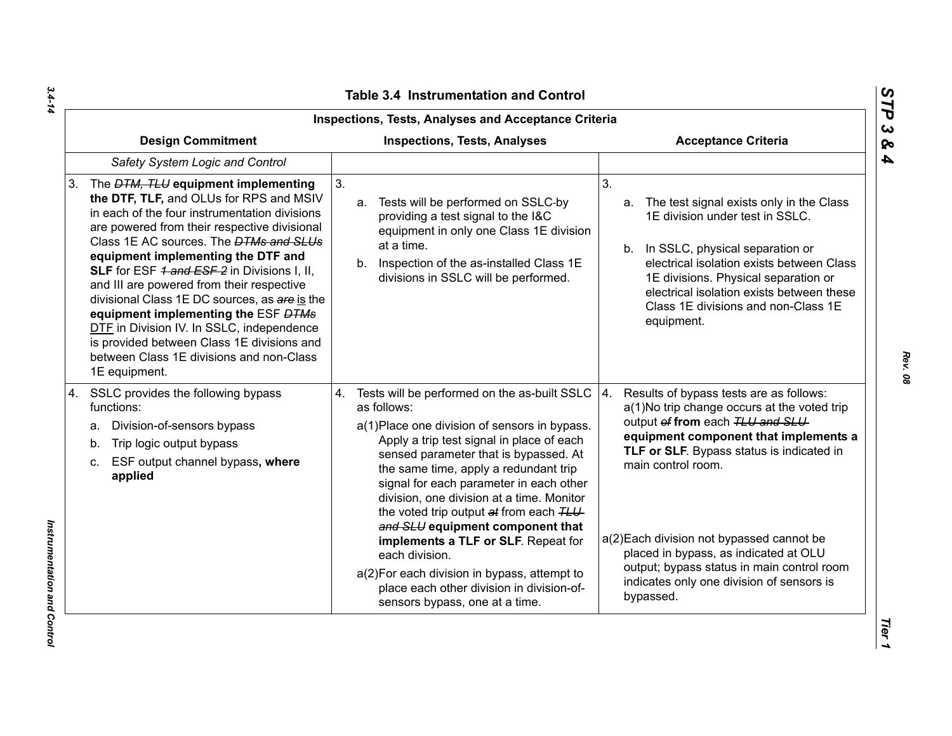| Inspections, Tests, Analyses and Acceptance Criteria                                                                                                                                                                                                                                                                                                                                                                                                                                                                                                                                                                            |                                                                                                                                                                                                                                                                                                                                                                                                                                                                                                                                                                                                              |                                                                                                                                                                                                                                                                                                                                                                                                                                           |  |  |
|---------------------------------------------------------------------------------------------------------------------------------------------------------------------------------------------------------------------------------------------------------------------------------------------------------------------------------------------------------------------------------------------------------------------------------------------------------------------------------------------------------------------------------------------------------------------------------------------------------------------------------|--------------------------------------------------------------------------------------------------------------------------------------------------------------------------------------------------------------------------------------------------------------------------------------------------------------------------------------------------------------------------------------------------------------------------------------------------------------------------------------------------------------------------------------------------------------------------------------------------------------|-------------------------------------------------------------------------------------------------------------------------------------------------------------------------------------------------------------------------------------------------------------------------------------------------------------------------------------------------------------------------------------------------------------------------------------------|--|--|
| <b>Design Commitment</b><br><b>Inspections, Tests, Analyses</b>                                                                                                                                                                                                                                                                                                                                                                                                                                                                                                                                                                 |                                                                                                                                                                                                                                                                                                                                                                                                                                                                                                                                                                                                              | <b>Acceptance Criteria</b>                                                                                                                                                                                                                                                                                                                                                                                                                |  |  |
| Safety System Logic and Control                                                                                                                                                                                                                                                                                                                                                                                                                                                                                                                                                                                                 |                                                                                                                                                                                                                                                                                                                                                                                                                                                                                                                                                                                                              |                                                                                                                                                                                                                                                                                                                                                                                                                                           |  |  |
| The <i>DTM, TLU</i> equipment implementing<br>3.<br>the DTF, TLF, and OLUs for RPS and MSIV<br>in each of the four instrumentation divisions<br>are powered from their respective divisional<br>Class 1E AC sources. The <b>DTMs and SLUs</b><br>equipment implementing the DTF and<br>SLF for ESF 4 and ESF 2 in Divisions I, II,<br>and III are powered from their respective<br>divisional Class 1E DC sources, as are is the<br>equipment implementing the ESF DTMs<br>DTF in Division IV. In SSLC, independence<br>is provided between Class 1E divisions and<br>between Class 1E divisions and non-Class<br>1E equipment. | 3 <sub>1</sub><br>Tests will be performed on SSLC-by<br>a.<br>providing a test signal to the I&C<br>equipment in only one Class 1E division<br>at a time.<br>b. Inspection of the as-installed Class 1E<br>divisions in SSLC will be performed.                                                                                                                                                                                                                                                                                                                                                              | 3 <sub>1</sub><br>a. The test signal exists only in the Class<br>1E division under test in SSLC.<br>b. In SSLC, physical separation or<br>electrical isolation exists between Class<br>1E divisions. Physical separation or<br>electrical isolation exists between these<br>Class 1E divisions and non-Class 1E<br>equipment.                                                                                                             |  |  |
| SSLC provides the following bypass<br>4.<br>functions:<br>Division-of-sensors bypass<br>а.<br>Trip logic output bypass<br>b.<br>ESF output channel bypass, where<br>C.<br>applied                                                                                                                                                                                                                                                                                                                                                                                                                                               | 4. Tests will be performed on the as-built SSLC<br>as follows:<br>a(1) Place one division of sensors in bypass.<br>Apply a trip test signal in place of each<br>sensed parameter that is bypassed. At<br>the same time, apply a redundant trip<br>signal for each parameter in each other<br>division, one division at a time. Monitor<br>the voted trip output at from each TLU<br>and SLU equipment component that<br>implements a TLF or SLF. Repeat for<br>each division.<br>a(2) For each division in bypass, attempt to<br>place each other division in division-of-<br>sensors bypass, one at a time. | 4.<br>Results of bypass tests are as follows:<br>a(1)No trip change occurs at the voted trip<br>output of from each TLU and SLU<br>equipment component that implements a<br>TLF or SLF. Bypass status is indicated in<br>main control room.<br>a(2) Each division not bypassed cannot be<br>placed in bypass, as indicated at OLU<br>output; bypass status in main control room<br>indicates only one division of sensors is<br>bypassed. |  |  |

*Rev. 08*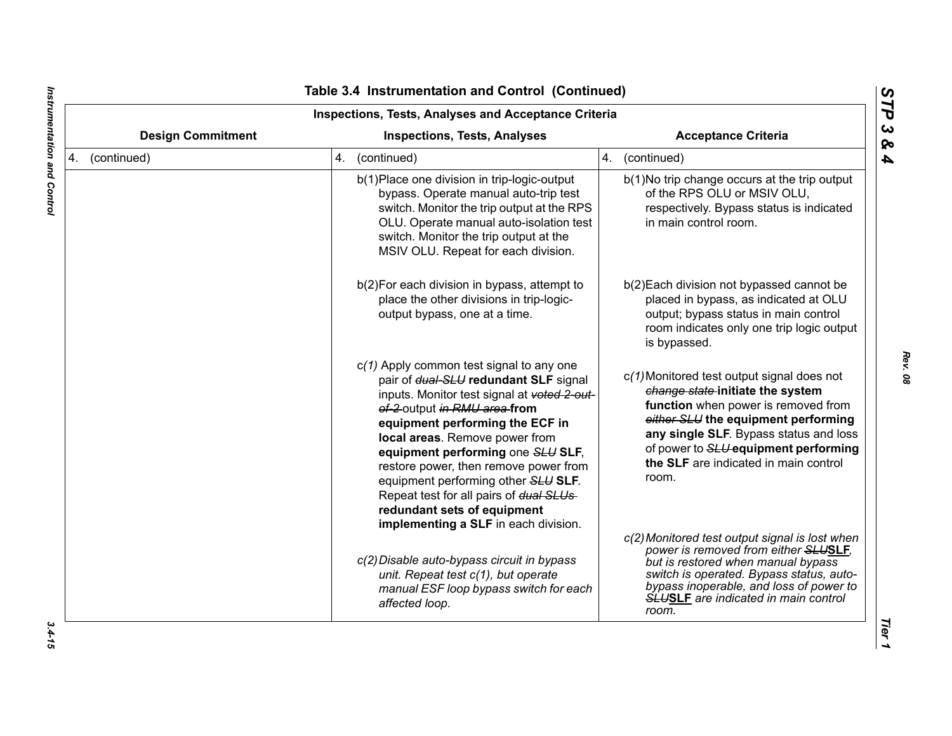| <b>Inspections, Tests, Analyses and Acceptance Criteria</b>     |                                                                                                                                                                                                                                                                                                                                                                                                                                                                               |                                                                                                                                                                                                                                                                                                  |  |
|-----------------------------------------------------------------|-------------------------------------------------------------------------------------------------------------------------------------------------------------------------------------------------------------------------------------------------------------------------------------------------------------------------------------------------------------------------------------------------------------------------------------------------------------------------------|--------------------------------------------------------------------------------------------------------------------------------------------------------------------------------------------------------------------------------------------------------------------------------------------------|--|
| <b>Design Commitment</b><br><b>Inspections, Tests, Analyses</b> |                                                                                                                                                                                                                                                                                                                                                                                                                                                                               | <b>Acceptance Criteria</b>                                                                                                                                                                                                                                                                       |  |
| 4. (continued)                                                  | 4. (continued)                                                                                                                                                                                                                                                                                                                                                                                                                                                                | 4. (continued)                                                                                                                                                                                                                                                                                   |  |
|                                                                 | b(1) Place one division in trip-logic-output<br>bypass. Operate manual auto-trip test<br>switch. Monitor the trip output at the RPS<br>OLU. Operate manual auto-isolation test<br>switch. Monitor the trip output at the<br>MSIV OLU. Repeat for each division.                                                                                                                                                                                                               | b(1) No trip change occurs at the trip output<br>of the RPS OLU or MSIV OLU,<br>respectively. Bypass status is indicated<br>in main control room.                                                                                                                                                |  |
|                                                                 | b(2) For each division in bypass, attempt to<br>place the other divisions in trip-logic-<br>output bypass, one at a time.                                                                                                                                                                                                                                                                                                                                                     | b(2) Each division not bypassed cannot be<br>placed in bypass, as indicated at OLU<br>output; bypass status in main control<br>room indicates only one trip logic output<br>is bypassed.                                                                                                         |  |
|                                                                 | $c(1)$ Apply common test signal to any one<br>pair of dual-SLU redundant SLF signal<br>inputs. Monitor test signal at voted 2-out-<br>of-2 output in RMU area from<br>equipment performing the ECF in<br>local areas. Remove power from<br>equipment performing one SLU SLF,<br>restore power, then remove power from<br>equipment performing other SLU SLF.<br>Repeat test for all pairs of dual SLUs<br>redundant sets of equipment<br>implementing a SLF in each division. | c(1) Monitored test output signal does not<br>change state-initiate the system<br>function when power is removed from<br>either SLU the equipment performing<br>any single SLF. Bypass status and loss<br>of power to SLU equipment performing<br>the SLF are indicated in main control<br>room. |  |
|                                                                 | c(2) Disable auto-bypass circuit in bypass<br>unit. Repeat test c(1), but operate<br>manual ESF loop bypass switch for each<br>affected loop.                                                                                                                                                                                                                                                                                                                                 | c(2) Monitored test output signal is lost when<br>power is removed from either SLUSLF,<br>but is restored when manual bypass<br>switch is operated. Bypass status, auto-<br>bypass inoperable, and loss of power to<br><b>SLUSLF</b> are indicated in main control<br>room.                      |  |

 $\blacksquare$ 

*Rev. 08*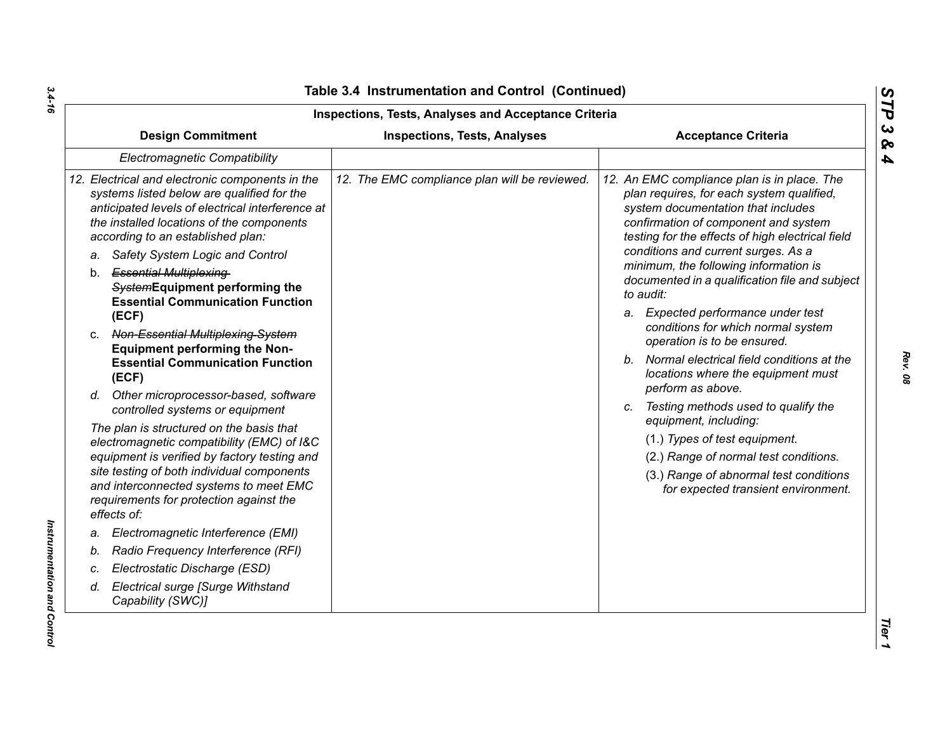| <b>Inspections, Tests, Analyses and Acceptance Criteria</b>                                                                                                                                                                                                                              |                                               |                                                                                                                                                                                                                                                                                                            |  |  |
|------------------------------------------------------------------------------------------------------------------------------------------------------------------------------------------------------------------------------------------------------------------------------------------|-----------------------------------------------|------------------------------------------------------------------------------------------------------------------------------------------------------------------------------------------------------------------------------------------------------------------------------------------------------------|--|--|
| <b>Design Commitment</b>                                                                                                                                                                                                                                                                 | <b>Inspections, Tests, Analyses</b>           | <b>Acceptance Criteria</b>                                                                                                                                                                                                                                                                                 |  |  |
| Electromagnetic Compatibility                                                                                                                                                                                                                                                            |                                               |                                                                                                                                                                                                                                                                                                            |  |  |
| 12. Electrical and electronic components in the<br>systems listed below are qualified for the<br>anticipated levels of electrical interference at<br>the installed locations of the components<br>according to an established plan:<br>Safety System Logic and Control<br>a.             | 12. The EMC compliance plan will be reviewed. | 12. An EMC compliance plan is in place. The<br>plan requires, for each system qualified,<br>system documentation that includes<br>confirmation of component and system<br>testing for the effects of high electrical field<br>conditions and current surges. As a<br>minimum, the following information is |  |  |
| b. Essential Multiplexing-<br>SystemEquipment performing the<br><b>Essential Communication Function</b>                                                                                                                                                                                  |                                               | documented in a qualification file and subject<br>to audit:                                                                                                                                                                                                                                                |  |  |
| (ECF)<br>c. Non-Essential Multiplexing-System                                                                                                                                                                                                                                            |                                               | a. Expected performance under test<br>conditions for which normal system<br>operation is to be ensured.                                                                                                                                                                                                    |  |  |
| <b>Equipment performing the Non-</b><br><b>Essential Communication Function</b><br>(ECF)                                                                                                                                                                                                 |                                               | b. Normal electrical field conditions at the<br>locations where the equipment must                                                                                                                                                                                                                         |  |  |
| d. Other microprocessor-based, software<br>controlled systems or equipment                                                                                                                                                                                                               |                                               | perform as above.<br>c. Testing methods used to qualify the<br>equipment, including:                                                                                                                                                                                                                       |  |  |
| The plan is structured on the basis that<br>electromagnetic compatibility (EMC) of I&C<br>equipment is verified by factory testing and<br>site testing of both individual components<br>and interconnected systems to meet EMC<br>requirements for protection against the<br>effects of: |                                               | (1.) Types of test equipment.<br>(2.) Range of normal test conditions.<br>(3.) Range of abnormal test conditions<br>for expected transient environment.                                                                                                                                                    |  |  |
| Electromagnetic Interference (EMI)<br>a.                                                                                                                                                                                                                                                 |                                               |                                                                                                                                                                                                                                                                                                            |  |  |
| Radio Frequency Interference (RFI)<br>b.                                                                                                                                                                                                                                                 |                                               |                                                                                                                                                                                                                                                                                                            |  |  |
| Electrostatic Discharge (ESD)<br>c.                                                                                                                                                                                                                                                      |                                               |                                                                                                                                                                                                                                                                                                            |  |  |
| Electrical surge [Surge Withstand<br>d.<br>Capability (SWC)]                                                                                                                                                                                                                             |                                               |                                                                                                                                                                                                                                                                                                            |  |  |